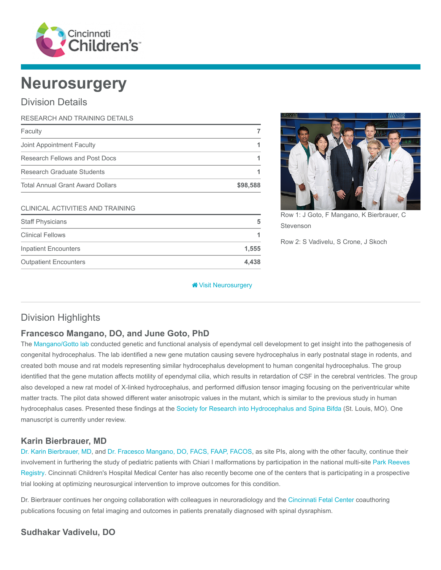

# **Neurosurgery**

# Division Details

| RESEARCH AND TRAINING DETAILS           |          |
|-----------------------------------------|----------|
| Faculty                                 |          |
| Joint Appointment Faculty               |          |
| Research Fellows and Post Docs          |          |
| Research Graduate Students              |          |
| <b>Total Annual Grant Award Dollars</b> | \$98,588 |
| <b>CLINICAL ACTIVITIES AND TRAINING</b> |          |

Staff Physicians 5 Clinical Fellows 1 Inpatient Encounters 1,555 Outpatient Encounters 4,438



Row 1: J Goto, F Mangano, K Bierbrauer, C Stevenson

Row 2: S Vadivelu, S Crone, J Skoch

#### **W** [Visit Neurosurgery](https://www.cincinnatichildrens.org/research/divisions/n/neurosurgery)

# Division Highlights

## Francesco Mangano, DO, and June Goto, PhD

The [Mangano/Gotto lab](https://www.cincinnatichildrens.org/research/divisions/n/neurosurgery/labs/mangano) conducted genetic and functional analysis of ependymal cell development to get insight into the pathogenesis of congenital hydrocephalus. The lab identified a new gene mutation causing severe hydrocephalus in early postnatal stage in rodents, and created both mouse and rat models representing similar hydrocephalus development to human congenital hydrocephalus. The group identified that the gene mutation affects motility of ependymal cilia, which results in retardation of CSF in the cerebral ventricles. The group also developed a new rat model of X-linked hydrocephalus, and performed diffusion tensor imaging focusing on the periventricular white matter tracts. The pilot data showed different water anisotropic values in the mutant, which is similar to the previous study in human hydrocephalus cases. Presented these findings at the [Society for Research into Hydrocephalus and Spina Bifda](https://www.srhsb.com/) (St. Louis, MO). One manuscript is currently under review.

## Karin Bierbrauer, MD

[Dr. Karin Bierbrauer, MD](https://www.cincinnatichildrens.org/bio/b/karin-bierbrauer), and [Dr. Fracesco Mangano, DO, FACS, FAAP, FACOS,](https://www.cincinnatichildrens.org/bio/m/francesco-mangano) as site PIs, along with the other faculty, continue their [involvement in furthering the study of pediatric patients with Chiari I malformations by participation in the national multi-site Park Reeves](https://park-reeves.wustl.edu/) Registry. Cincinnati Children's Hospital Medical Center has also recently become one of the centers that is participating in a prospective trial looking at optimizing neurosurgical intervention to improve outcomes for this condition.

Dr. Bierbrauer continues her ongoing collaboration with colleagues in neuroradiology and the [Cincinnati Fetal Center](https://www.cincinnatichildrens.org/service/f/fetal-care) coauthoring publications focusing on fetal imaging and outcomes in patients prenatally diagnosed with spinal dysraphism.

## Sudhakar Vadivelu, DO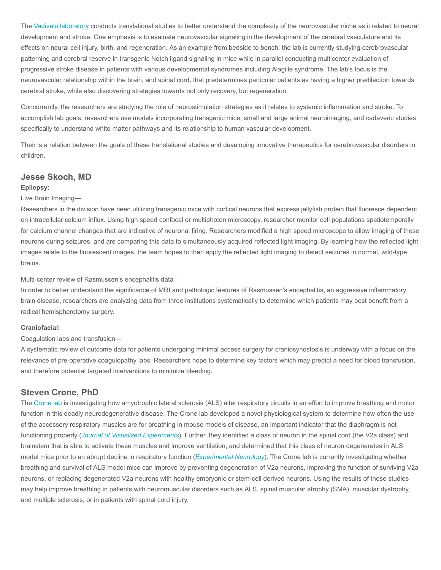The [Vadivelu laboratory](https://www.cincinnatichildrens.org/research/divisions/n/neurosurgery/labs/vadivelu) conducts translational studies to better understand the complexity of the neurovascular niche as it related to neural development and stroke. One emphasis is to evaluate neurovascular signaling in the development of the cerebral vasculature and its effects on neural cell injury, birth, and regeneration. As an example from bedside to bench, the lab is currently studying cerebrovascular patterning and cerebral reserve in transgenic Notch ligand signaling in mice while in parallel conducting multicenter evaluation of progressive stroke disease in patients with various developmental syndromes including Alagille syndrome. The lab's focus is the neurovascular relationship within the brain, and spinal cord, that predetermines particular patients as having a higher predilection towards cerebral stroke, while also discovering strategies towards not only recovery, but regeneration.

Concurrently, the researchers are studying the role of neurostimulation strategies as it relates to systemic inflammation and stroke. To accomplish lab goals, researchers use models incorporating transgenic mice, small and large animal neuroimaging, and cadaveric studies specifically to understand white matter pathways and its relationship to human vascular development.

Their is a relation between the goals of these translational studies and developing innovative therapeutics for cerebrovascular disorders in children.

## Jesse Skoch, MD

#### Epilepsy:

#### Live Brain Imaging—

Researchers in the division have been utilizing transgenic mice with cortical neurons that express jellyfish protein that fluoresce dependent on intracellular calcium influx. Using high speed confocal or multiphoton microscopy, researcher monitor cell populations spatiotemporally for calcium channel changes that are indicative of neuronal firing. Researchers modified a high speed microscope to allow imaging of these neurons during seizures, and are comparing this data to simultaneously acquired reflected light imaging. By learning how the reflected light images relate to the fluorescent images, the team hopes to then apply the reflected light imaging to detect seizures in normal, wild-type brains.

Multi-center review of Rasmussen's encephalitis data—

In order to better understand the significance of MRI and pathologic features of Rasmussen's encephalitis, an aggressive inflammatory brain disease, researchers are analyzing data from three institutions systematically to determine which patients may best benefit from a radical hemispherotomy surgery.

#### Craniofacial:

#### Coagulation labs and transfusion—

A systematic review of outcome data for patients undergoing minimal access surgery for craniosynostosis is underway with a focus on the relevance of pre-operative coagulopathy labs. Researchers hope to determine key factors which may predict a need for blood transfusion, and therefore potential targeted interventions to minimize bleeding.

### Steven Crone, PhD

The [Crone lab](https://www.cincinnatichildrens.org/research/divisions/n/neurosurgery/labs/crone) is investigating how amyotrophic lateral sclerosis (ALS) alter respiratory circuits in an effort to improve breathing and motor function in this deadly neurodegenerative disease. The Crone lab developed a novel physiological system to determine how often the use of the accessory respiratory muscles are for breathing in mouse models of disease, an important indicator that the diaphragm is not functioning properly ([Journal of Visualized Experiments](https://www.ncbi.nlm.nih.gov/pubmed/28448001)). Further, they identified a class of neuron in the spinal cord (the V2a class) and brainstem that is able to activate these muscles and improve ventilation, and determined that this class of neuron degenerates in ALS model mice prior to an abrupt decline in respiratory function (*[Experimental Neurology](https://www.ncbi.nlm.nih.gov/pubmed/27456268)*). The Crone lab is currently investigating whether breathing and survival of ALS model mice can improve by preventing degeneration of V2a neurons, improving the function of surviving V2a neurons, or replacing degenerated V2a neurons with healthy embryonic or stem-cell derived neurons. Using the results of these studies may help improve breathing in patients with neuromuscular disorders such as ALS, spinal muscular atrophy (SMA), muscular dystrophy, and multiple sclerosis, or in patients with spinal cord injury.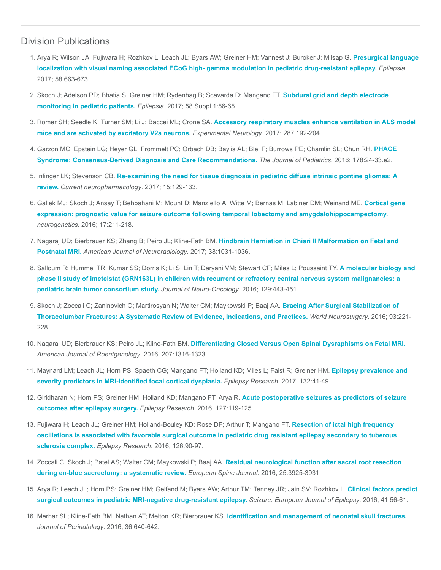# Division Publications

- 1. [Arya R; Wilson JA; Fujiwara H; Rozhkov L; Leach JL; Byars AW; Greiner HM; Vannest J; Buroker J; Milsap G.](https://www.ncbi.nlm.nih.gov/pubmed/28225156) Presurgical language localization with visual naming associated ECoG high- gamma modulation in pediatric drug-resistant epilepsy. Epilepsia. 2017; 58:663-673.
- 2. [Skoch J; Adelson PD; Bhatia S; Greiner HM; Rydenhag B; Scavarda D; Mangano FT.](https://www.ncbi.nlm.nih.gov/pubmed/28386924) Subdural grid and depth electrode monitoring in pediatric patients. Epilepsia. 2017; 58 Suppl 1:56-65.
- 3. Romer SH; Seedle K; Turner SM; Li J; Baccei ML; Crone SA. [Accessory respiratory muscles enhance ventilation in ALS model](https://www.ncbi.nlm.nih.gov/pubmed/27456268) mice and are activated by excitatory V2a neurons. Experimental Neurology. 2017; 287:192-204.
- 4. [Garzon MC; Epstein LG; Heyer GL; Frommelt PC; Orbach DB; Baylis AL; Blei F; Burrows PE; Chamlin SL; Chun RH.](https://www.ncbi.nlm.nih.gov/pubmed/27659028) PHACE Syndrome: Consensus-Derived Diagnosis and Care Recommendations. The Journal of Pediatrics. 2016; 178:24-33.e2.
- 5. Infinger LK; Stevenson CB. [Re-examining the need for tissue diagnosis in pediatric diffuse intrinsic pontine gliomas: A](https://www.ncbi.nlm.nih.gov/pubmed/27109746) review. Current neuropharmacology. 2017; 15:129-133.
- 6. [Gallek MJ; Skoch J; Ansay T; Behbahani M; Mount D; Manziello A; Witte M; Bernas M; Labiner DM; Weinand ME.](https://www.ncbi.nlm.nih.gov/pubmed/27251580) Cortical gene expression: prognostic value for seizure outcome following temporal lobectomy and amygdalohippocampectomy. neurogenetics. 2016; 17:211-218.
- 7. [Nagaraj UD; Bierbrauer KS; Zhang B; Peiro JL; Kline-Fath BM.](https://www.ncbi.nlm.nih.gov/pubmed/28279990) Hindbrain Herniation in Chiari II Malformation on Fetal and Postnatal MRI. American Journal of Neuroradiology. 2017; 38:1031-1036.
- 8. Salloum R; Hummel TR; Kumar SS; Dorris K; Li S; Lin T; Daryani VM; Stewart CF; Miles L; Poussaint TY. A molecular biology and [phase II study of imetelstat \(GRN163L\) in children with recurrent or refractory central nervous system malignancies: a](https://www.ncbi.nlm.nih.gov/pubmed/27350411) pediatric brain tumor consortium study. Journal of Neuro-Oncology. 2016; 129:443-451.
- 9. [Skoch J; Zoccali C; Zaninovich O; Martirosyan N; Walter CM; Maykowski P; Baaj AA.](https://www.ncbi.nlm.nih.gov/pubmed/27262651) Bracing After Surgical Stabilization of Thoracolumbar Fractures: A Systematic Review of Evidence, Indications, and Practices. World Neurosurgery. 2016; 93:221- 228.
- 10. Nagaraj UD; Bierbrauer KS; Peiro JL; Kline-Fath BM. [Differentiating Closed Versus Open Spinal Dysraphisms on Fetal MRI.](https://www.ncbi.nlm.nih.gov/pubmed/27610944) American Journal of Roentgenology. 2016; 207:1316-1323.
- 11. [Maynard LM; Leach JL; Horn PS; Spaeth CG; Mangano FT; Holland KD; Miles L; Faist R; Greiner HM.](https://www.ncbi.nlm.nih.gov/pubmed/28288357) Epilepsy prevalence and severity predictors in MRI-identified focal cortical dysplasia. Epilepsy Research. 2017; 132:41-49.
- 12. [Giridharan N; Horn PS; Greiner HM; Holland KD; Mangano FT; Arya R.](https://www.ncbi.nlm.nih.gov/pubmed/27591363) Acute postoperative seizures as predictors of seizure outcomes after epilepsy surgery. Epilepsy Research. 2016; 127:119-125.
- 13. Fujiwara H; Leach JL; Greiner HM; Holland-Bouley KD; Rose DF; Arthur T; Mangano FT. Resection of ictal high frequency [oscillations is associated with favorable surgical outcome in pediatric drug resistant epilepsy secondary to tuberous](https://www.ncbi.nlm.nih.gov/pubmed/27450371) sclerosis complex. Epilepsy Research. 2016; 126:90-97.
- 14. [Zoccali C; Skoch J; Patel AS; Walter CM; Maykowski P; Baaj AA.](https://www.ncbi.nlm.nih.gov/pubmed/26914097) Residual neurological function after sacral root resection during en-bloc sacrectomy: a systematic review. European Spine Journal. 2016; 25:3925-3931.
- 15. [Arya R; Leach JL; Horn PS; Greiner HM; Gelfand M; Byars AW; Arthur TM; Tenney JR; Jain SV; Rozhkov L.](https://www.ncbi.nlm.nih.gov/pubmed/27474907) Clinical factors predict surgical outcomes in pediatric MRI-negative drug-resistant epilepsy. Seizure: European Journal of Epilepsy. 2016; 41:56-61.
- 16. Merhar SL; Kline-Fath BM; Nathan AT; Melton KR; Bierbrauer KS. [Identification and management of neonatal skull fractures.](https://www.ncbi.nlm.nih.gov/pubmed/27054839) Journal of Perinatology. 2016; 36:640-642.